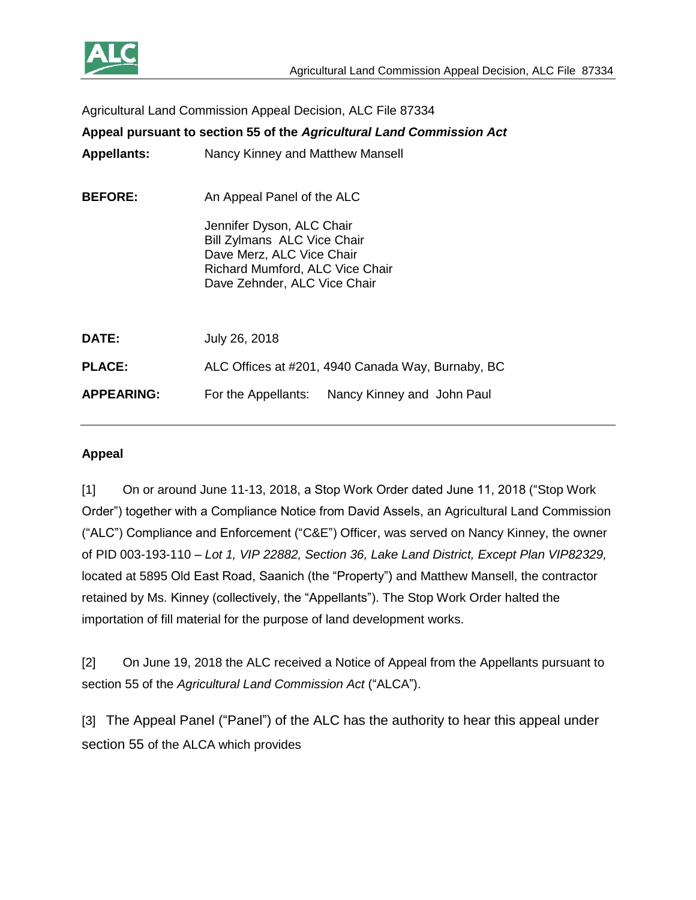

Agricultural Land Commission Appeal Decision, ALC File 87334

| <b>Appellants:</b><br>Nancy Kinney and Matthew Mansell<br><b>BEFORE:</b><br>An Appeal Panel of the ALC<br>Jennifer Dyson, ALC Chair<br>Bill Zylmans ALC Vice Chair |  |
|--------------------------------------------------------------------------------------------------------------------------------------------------------------------|--|
|                                                                                                                                                                    |  |
| Dave Merz, ALC Vice Chair<br>Richard Mumford, ALC Vice Chair<br>Dave Zehnder, ALC Vice Chair                                                                       |  |
| <b>DATE:</b><br>July 26, 2018                                                                                                                                      |  |
| <b>PLACE:</b><br>ALC Offices at #201, 4940 Canada Way, Burnaby, BC                                                                                                 |  |
| <b>APPEARING:</b><br>For the Appellants: Nancy Kinney and John Paul                                                                                                |  |

### **Appeal**

[1] On or around June 11-13, 2018, a Stop Work Order dated June 11, 2018 ("Stop Work Order") together with a Compliance Notice from David Assels, an Agricultural Land Commission ("ALC") Compliance and Enforcement ("C&E") Officer, was served on Nancy Kinney, the owner of PID 003-193-110 – *Lot 1, VIP 22882, Section 36, Lake Land District, Except Plan VIP82329,* located at 5895 Old East Road, Saanich (the "Property") and Matthew Mansell, the contractor retained by Ms. Kinney (collectively, the "Appellants"). The Stop Work Order halted the importation of fill material for the purpose of land development works.

[2] On June 19, 2018 the ALC received a Notice of Appeal from the Appellants pursuant to section 55 of the *Agricultural Land Commission Act* ("ALCA").

[3] The Appeal Panel ("Panel") of the ALC has the authority to hear this appeal under section 55 of the ALCA which provides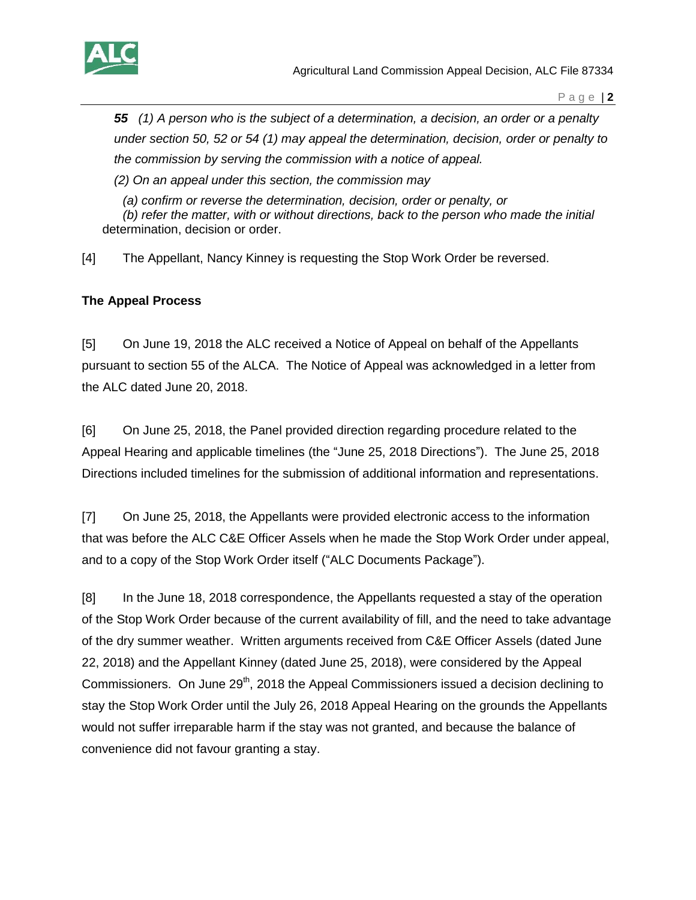

*55 (1) A person who is the subject of a determination, a decision, an order or a penalty under section 50, 52 or 54 (1) may appeal the determination, decision, order or penalty to the commission by serving the commission with a notice of appeal.*

*(2) On an appeal under this section, the commission may*

*(a) confirm or reverse the determination, decision, order or penalty, or*

*(b) refer the matter, with or without directions, back to the person who made the initial*  determination, decision or order.

[4] The Appellant, Nancy Kinney is requesting the Stop Work Order be reversed.

## **The Appeal Process**

[5] On June 19, 2018 the ALC received a Notice of Appeal on behalf of the Appellants pursuant to section 55 of the ALCA. The Notice of Appeal was acknowledged in a letter from the ALC dated June 20, 2018.

[6] On June 25, 2018, the Panel provided direction regarding procedure related to the Appeal Hearing and applicable timelines (the "June 25, 2018 Directions"). The June 25, 2018 Directions included timelines for the submission of additional information and representations.

[7] On June 25, 2018, the Appellants were provided electronic access to the information that was before the ALC C&E Officer Assels when he made the Stop Work Order under appeal, and to a copy of the Stop Work Order itself ("ALC Documents Package").

[8] In the June 18, 2018 correspondence, the Appellants requested a stay of the operation of the Stop Work Order because of the current availability of fill, and the need to take advantage of the dry summer weather. Written arguments received from C&E Officer Assels (dated June 22, 2018) and the Appellant Kinney (dated June 25, 2018), were considered by the Appeal Commissioners. On June 29<sup>th</sup>, 2018 the Appeal Commissioners issued a decision declining to stay the Stop Work Order until the July 26, 2018 Appeal Hearing on the grounds the Appellants would not suffer irreparable harm if the stay was not granted, and because the balance of convenience did not favour granting a stay.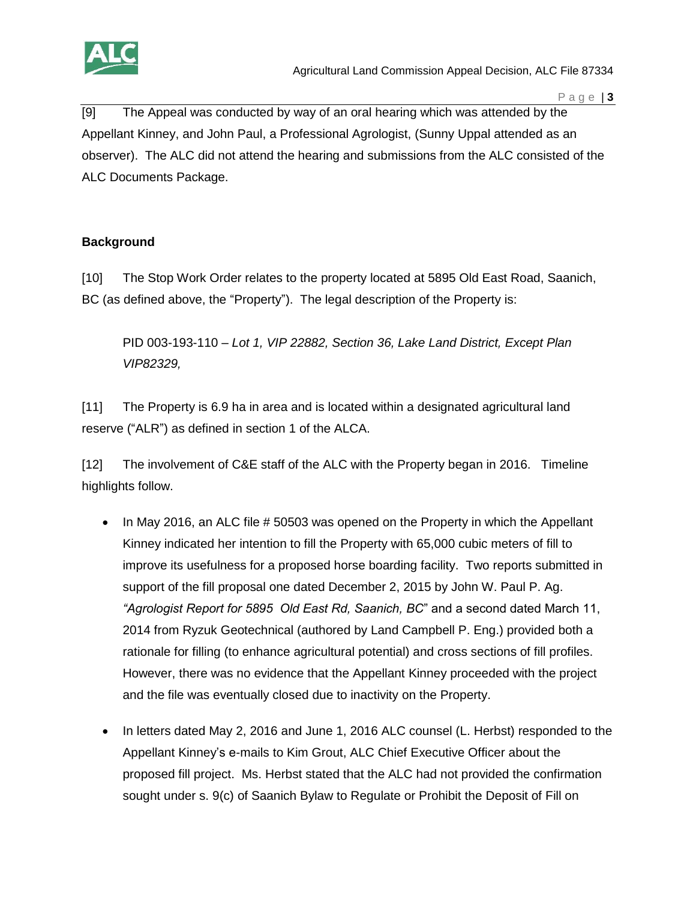

[9] The Appeal was conducted by way of an oral hearing which was attended by the Appellant Kinney, and John Paul, a Professional Agrologist, (Sunny Uppal attended as an observer). The ALC did not attend the hearing and submissions from the ALC consisted of the ALC Documents Package.

# **Background**

[10] The Stop Work Order relates to the property located at 5895 Old East Road, Saanich, BC (as defined above, the "Property"). The legal description of the Property is:

PID 003-193-110 – *Lot 1, VIP 22882, Section 36, Lake Land District, Except Plan VIP82329,*

[11] The Property is 6.9 ha in area and is located within a designated agricultural land reserve ("ALR") as defined in section 1 of the ALCA.

[12] The involvement of C&E staff of the ALC with the Property began in 2016. Timeline highlights follow.

- In May 2016, an ALC file # 50503 was opened on the Property in which the Appellant Kinney indicated her intention to fill the Property with 65,000 cubic meters of fill to improve its usefulness for a proposed horse boarding facility. Two reports submitted in support of the fill proposal one dated December 2, 2015 by John W. Paul P. Ag. *"Agrologist Report for 5895 Old East Rd, Saanich, BC*" and a second dated March 11, 2014 from Ryzuk Geotechnical (authored by Land Campbell P. Eng.) provided both a rationale for filling (to enhance agricultural potential) and cross sections of fill profiles. However, there was no evidence that the Appellant Kinney proceeded with the project and the file was eventually closed due to inactivity on the Property.
- In letters dated May 2, 2016 and June 1, 2016 ALC counsel (L. Herbst) responded to the Appellant Kinney's e-mails to Kim Grout, ALC Chief Executive Officer about the proposed fill project. Ms. Herbst stated that the ALC had not provided the confirmation sought under s. 9(c) of Saanich Bylaw to Regulate or Prohibit the Deposit of Fill on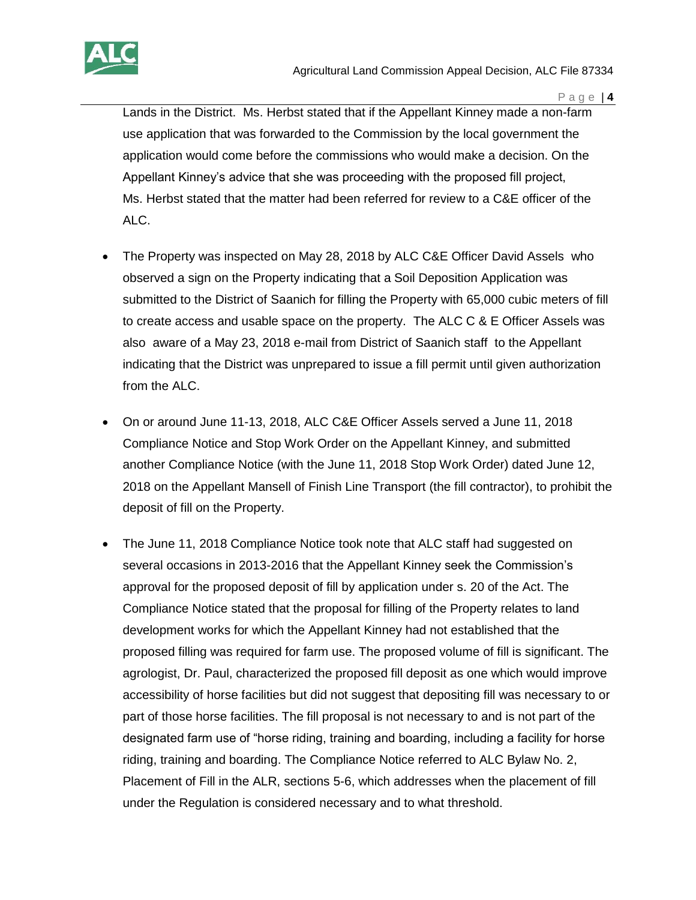

Lands in the District. Ms. Herbst stated that if the Appellant Kinney made a non-farm use application that was forwarded to the Commission by the local government the application would come before the commissions who would make a decision. On the Appellant Kinney's advice that she was proceeding with the proposed fill project, Ms. Herbst stated that the matter had been referred for review to a C&E officer of the ALC.

- The Property was inspected on May 28, 2018 by ALC C&E Officer David Assels who observed a sign on the Property indicating that a Soil Deposition Application was submitted to the District of Saanich for filling the Property with 65,000 cubic meters of fill to create access and usable space on the property. The ALC C & E Officer Assels was also aware of a May 23, 2018 e-mail from District of Saanich staff to the Appellant indicating that the District was unprepared to issue a fill permit until given authorization from the ALC.
- On or around June 11-13, 2018, ALC C&E Officer Assels served a June 11, 2018 Compliance Notice and Stop Work Order on the Appellant Kinney, and submitted another Compliance Notice (with the June 11, 2018 Stop Work Order) dated June 12, 2018 on the Appellant Mansell of Finish Line Transport (the fill contractor), to prohibit the deposit of fill on the Property.
- The June 11, 2018 Compliance Notice took note that ALC staff had suggested on several occasions in 2013-2016 that the Appellant Kinney seek the Commission's approval for the proposed deposit of fill by application under s. 20 of the Act. The Compliance Notice stated that the proposal for filling of the Property relates to land development works for which the Appellant Kinney had not established that the proposed filling was required for farm use. The proposed volume of fill is significant. The agrologist, Dr. Paul, characterized the proposed fill deposit as one which would improve accessibility of horse facilities but did not suggest that depositing fill was necessary to or part of those horse facilities. The fill proposal is not necessary to and is not part of the designated farm use of "horse riding, training and boarding, including a facility for horse riding, training and boarding. The Compliance Notice referred to ALC Bylaw No. 2, Placement of Fill in the ALR, sections 5-6, which addresses when the placement of fill under the Regulation is considered necessary and to what threshold.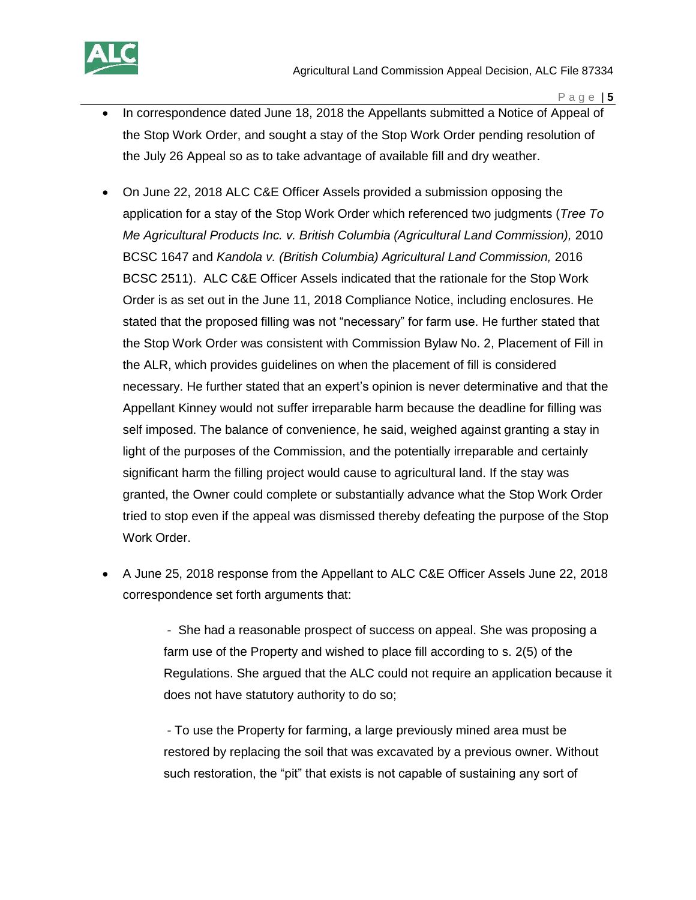

- In correspondence dated June 18, 2018 the Appellants submitted a Notice of Appeal of the Stop Work Order, and sought a stay of the Stop Work Order pending resolution of the July 26 Appeal so as to take advantage of available fill and dry weather.
- On June 22, 2018 ALC C&E Officer Assels provided a submission opposing the application for a stay of the Stop Work Order which referenced two judgments (*Tree To Me Agricultural Products Inc. v. British Columbia (Agricultural Land Commission),* 2010 BCSC 1647 and *Kandola v. (British Columbia) Agricultural Land Commission,* 2016 BCSC 2511). ALC C&E Officer Assels indicated that the rationale for the Stop Work Order is as set out in the June 11, 2018 Compliance Notice, including enclosures. He stated that the proposed filling was not "necessary" for farm use. He further stated that the Stop Work Order was consistent with Commission Bylaw No. 2, Placement of Fill in the ALR, which provides guidelines on when the placement of fill is considered necessary. He further stated that an expert's opinion is never determinative and that the Appellant Kinney would not suffer irreparable harm because the deadline for filling was self imposed. The balance of convenience, he said, weighed against granting a stay in light of the purposes of the Commission, and the potentially irreparable and certainly significant harm the filling project would cause to agricultural land. If the stay was granted, the Owner could complete or substantially advance what the Stop Work Order tried to stop even if the appeal was dismissed thereby defeating the purpose of the Stop Work Order.
- A June 25, 2018 response from the Appellant to ALC C&E Officer Assels June 22, 2018 correspondence set forth arguments that:

- She had a reasonable prospect of success on appeal. She was proposing a farm use of the Property and wished to place fill according to s. 2(5) of the Regulations. She argued that the ALC could not require an application because it does not have statutory authority to do so;

- To use the Property for farming, a large previously mined area must be restored by replacing the soil that was excavated by a previous owner. Without such restoration, the "pit" that exists is not capable of sustaining any sort of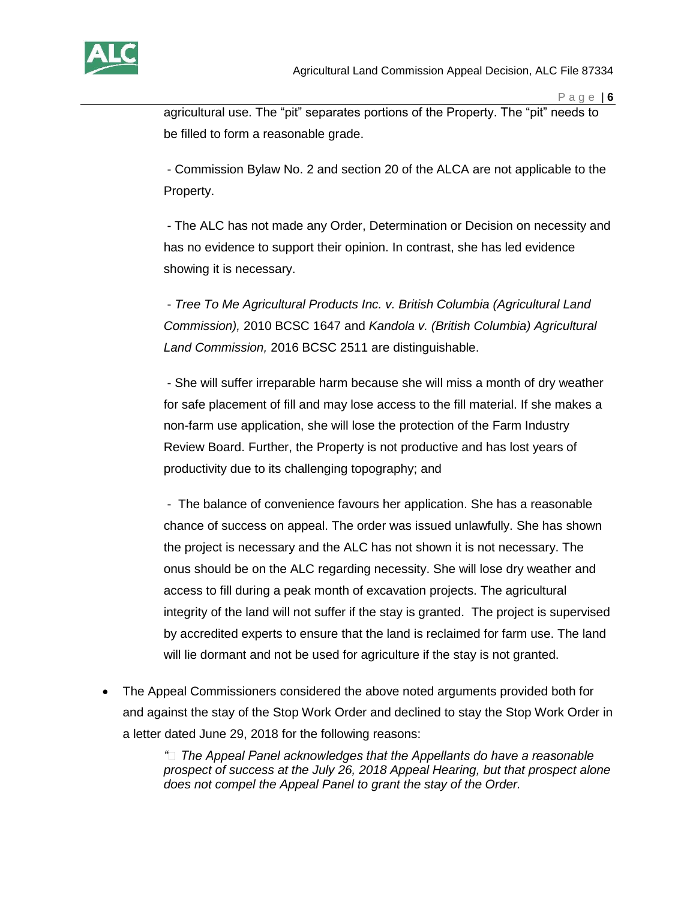

agricultural use. The "pit" separates portions of the Property. The "pit" needs to be filled to form a reasonable grade.

- Commission Bylaw No. 2 and section 20 of the ALCA are not applicable to the Property.

- The ALC has not made any Order, Determination or Decision on necessity and has no evidence to support their opinion. In contrast, she has led evidence showing it is necessary.

- *Tree To Me Agricultural Products Inc. v. British Columbia (Agricultural Land Commission),* 2010 BCSC 1647 and *Kandola v. (British Columbia) Agricultural Land Commission,* 2016 BCSC 2511 are distinguishable.

- She will suffer irreparable harm because she will miss a month of dry weather for safe placement of fill and may lose access to the fill material. If she makes a non-farm use application, she will lose the protection of the Farm Industry Review Board. Further, the Property is not productive and has lost years of productivity due to its challenging topography; and

- The balance of convenience favours her application. She has a reasonable chance of success on appeal. The order was issued unlawfully. She has shown the project is necessary and the ALC has not shown it is not necessary. The onus should be on the ALC regarding necessity. She will lose dry weather and access to fill during a peak month of excavation projects. The agricultural integrity of the land will not suffer if the stay is granted. The project is supervised by accredited experts to ensure that the land is reclaimed for farm use. The land will lie dormant and not be used for agriculture if the stay is not granted.

 The Appeal Commissioners considered the above noted arguments provided both for and against the stay of the Stop Work Order and declined to stay the Stop Work Order in a letter dated June 29, 2018 for the following reasons:

> "
> 
> <sup>"</sup>
> I The Appeal Panel acknowledges that the Appellants do have a reasonable *prospect of success at the July 26, 2018 Appeal Hearing, but that prospect alone does not compel the Appeal Panel to grant the stay of the Order.*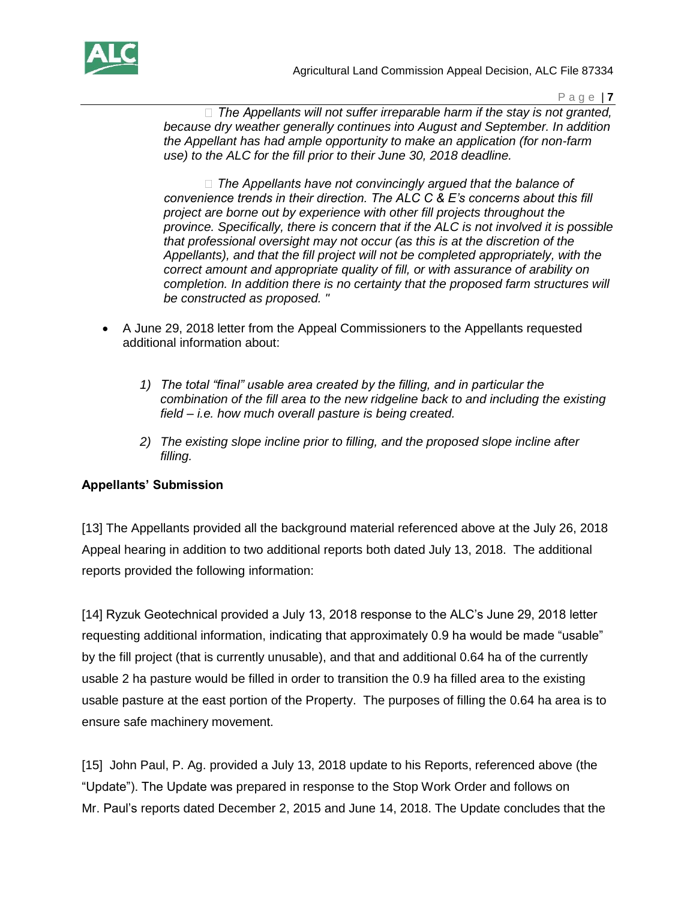

Agricultural Land Commission Appeal Decision, ALC File 87334

P a g e | **7**

*p* The Appellants will not suffer irreparable harm if the stay is not granted, *because dry weather generally continues into August and September. In addition the Appellant has had ample opportunity to make an application (for non-farm use) to the ALC for the fill prior to their June 30, 2018 deadline.* 

 $\Box$  The Appellants have not convincingly argued that the balance of *convenience trends in their direction. The ALC C & E's concerns about this fill project are borne out by experience with other fill projects throughout the province. Specifically, there is concern that if the ALC is not involved it is possible that professional oversight may not occur (as this is at the discretion of the Appellants), and that the fill project will not be completed appropriately, with the correct amount and appropriate quality of fill, or with assurance of arability on completion. In addition there is no certainty that the proposed farm structures will be constructed as proposed. "*

- A June 29, 2018 letter from the Appeal Commissioners to the Appellants requested additional information about:
	- *1) The total "final" usable area created by the filling, and in particular the combination of the fill area to the new ridgeline back to and including the existing field – i.e. how much overall pasture is being created.*
	- *2) The existing slope incline prior to filling, and the proposed slope incline after filling.*

## **Appellants' Submission**

[13] The Appellants provided all the background material referenced above at the July 26, 2018 Appeal hearing in addition to two additional reports both dated July 13, 2018. The additional reports provided the following information:

[14] Ryzuk Geotechnical provided a July 13, 2018 response to the ALC's June 29, 2018 letter requesting additional information, indicating that approximately 0.9 ha would be made "usable" by the fill project (that is currently unusable), and that and additional 0.64 ha of the currently usable 2 ha pasture would be filled in order to transition the 0.9 ha filled area to the existing usable pasture at the east portion of the Property. The purposes of filling the 0.64 ha area is to ensure safe machinery movement.

[15] John Paul, P. Ag. provided a July 13, 2018 update to his Reports, referenced above (the "Update"). The Update was prepared in response to the Stop Work Order and follows on Mr. Paul's reports dated December 2, 2015 and June 14, 2018. The Update concludes that the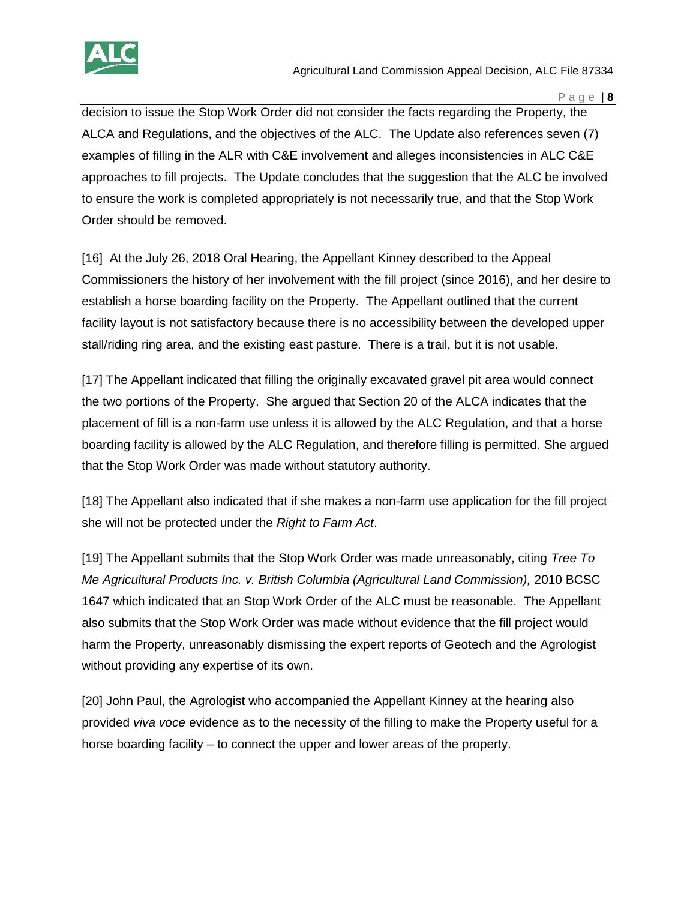

decision to issue the Stop Work Order did not consider the facts regarding the Property, the ALCA and Regulations, and the objectives of the ALC. The Update also references seven (7) examples of filling in the ALR with C&E involvement and alleges inconsistencies in ALC C&E approaches to fill projects. The Update concludes that the suggestion that the ALC be involved to ensure the work is completed appropriately is not necessarily true, and that the Stop Work Order should be removed.

[16] At the July 26, 2018 Oral Hearing, the Appellant Kinney described to the Appeal Commissioners the history of her involvement with the fill project (since 2016), and her desire to establish a horse boarding facility on the Property. The Appellant outlined that the current facility layout is not satisfactory because there is no accessibility between the developed upper stall/riding ring area, and the existing east pasture. There is a trail, but it is not usable.

[17] The Appellant indicated that filling the originally excavated gravel pit area would connect the two portions of the Property. She argued that Section 20 of the ALCA indicates that the placement of fill is a non-farm use unless it is allowed by the ALC Regulation, and that a horse boarding facility is allowed by the ALC Regulation, and therefore filling is permitted. She argued that the Stop Work Order was made without statutory authority.

[18] The Appellant also indicated that if she makes a non-farm use application for the fill project she will not be protected under the *Right to Farm Act*.

[19] The Appellant submits that the Stop Work Order was made unreasonably, citing *Tree To Me Agricultural Products Inc. v. British Columbia (Agricultural Land Commission),* 2010 BCSC 1647 which indicated that an Stop Work Order of the ALC must be reasonable. The Appellant also submits that the Stop Work Order was made without evidence that the fill project would harm the Property, unreasonably dismissing the expert reports of Geotech and the Agrologist without providing any expertise of its own.

[20] John Paul, the Agrologist who accompanied the Appellant Kinney at the hearing also provided *viva voce* evidence as to the necessity of the filling to make the Property useful for a horse boarding facility – to connect the upper and lower areas of the property.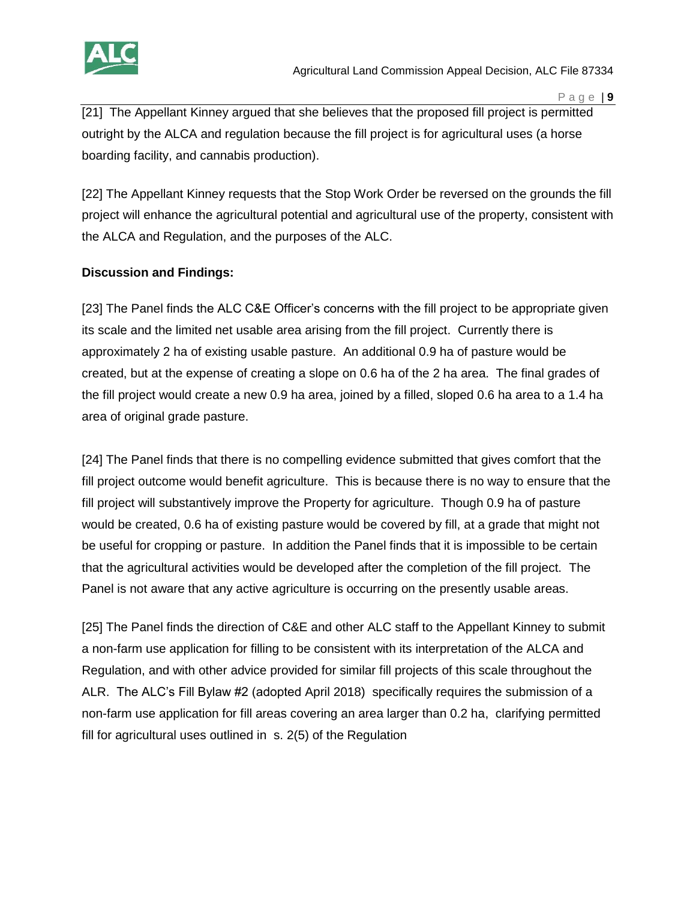

[21] The Appellant Kinney argued that she believes that the proposed fill project is permitted outright by the ALCA and regulation because the fill project is for agricultural uses (a horse boarding facility, and cannabis production).

[22] The Appellant Kinney requests that the Stop Work Order be reversed on the grounds the fill project will enhance the agricultural potential and agricultural use of the property, consistent with the ALCA and Regulation, and the purposes of the ALC.

# **Discussion and Findings:**

[23] The Panel finds the ALC C&E Officer's concerns with the fill project to be appropriate given its scale and the limited net usable area arising from the fill project. Currently there is approximately 2 ha of existing usable pasture. An additional 0.9 ha of pasture would be created, but at the expense of creating a slope on 0.6 ha of the 2 ha area. The final grades of the fill project would create a new 0.9 ha area, joined by a filled, sloped 0.6 ha area to a 1.4 ha area of original grade pasture.

[24] The Panel finds that there is no compelling evidence submitted that gives comfort that the fill project outcome would benefit agriculture. This is because there is no way to ensure that the fill project will substantively improve the Property for agriculture. Though 0.9 ha of pasture would be created, 0.6 ha of existing pasture would be covered by fill, at a grade that might not be useful for cropping or pasture. In addition the Panel finds that it is impossible to be certain that the agricultural activities would be developed after the completion of the fill project. The Panel is not aware that any active agriculture is occurring on the presently usable areas.

[25] The Panel finds the direction of C&E and other ALC staff to the Appellant Kinney to submit a non-farm use application for filling to be consistent with its interpretation of the ALCA and Regulation, and with other advice provided for similar fill projects of this scale throughout the ALR. The ALC's Fill Bylaw #2 (adopted April 2018) specifically requires the submission of a non-farm use application for fill areas covering an area larger than 0.2 ha, clarifying permitted fill for agricultural uses outlined in s. 2(5) of the Regulation